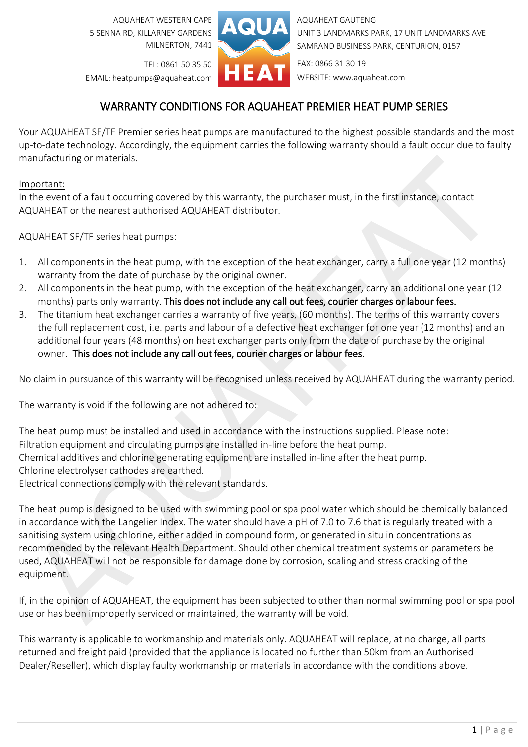AQUAHEAT WESTERN CAPE 5 SENNA RD, KILLARNEY GARDENS MILNERTON, 7441



AQUAHEAT GAUTENG UNIT 3 LANDMARKS PARK, 17 UNIT LANDMARKS AVE SAMRAND BUSINESS PARK, CENTURION, 0157

TEL: 0861 50 35 50 EMAIL: heatpumps@aquaheat.com FAX: 0866 31 30 19 WEBSITE: www.aquaheat.com

## WARRANTY CONDITIONS FOR AQUAHEAT PREMIER HEAT PUMP SERIES

Your AQUAHEAT SF/TF Premier series heat pumps are manufactured to the highest possible standards and the most up-to-date technology. Accordingly, the equipment carries the following warranty should a fault occur due to faulty manufacturing or materials.

## Important:

In the event of a fault occurring covered by this warranty, the purchaser must, in the first instance, contact AQUAHEAT or the nearest authorised AQUAHEAT distributor.

AQUAHEAT SF/TF series heat pumps:

- 1. All components in the heat pump, with the exception of the heat exchanger, carry a full one year (12 months) warranty from the date of purchase by the original owner.
- 2. All components in the heat pump, with the exception of the heat exchanger, carry an additional one year (12 months) parts only warranty. This does not include any call out fees, courier charges or labour fees.
- 3. The titanium heat exchanger carries a warranty of five years, (60 months). The terms of this warranty covers the full replacement cost, i.e. parts and labour of a defective heat exchanger for one year (12 months) and an additional four years (48 months) on heat exchanger parts only from the date of purchase by the original owner. This does not include any call out fees, courier charges or labour fees.

No claim in pursuance of this warranty will be recognised unless received by AQUAHEAT during the warranty period.

The warranty is void if the following are not adhered to:

The heat pump must be installed and used in accordance with the instructions supplied. Please note: Filtration equipment and circulating pumps are installed in-line before the heat pump. Chemical additives and chlorine generating equipment are installed in-line after the heat pump. Chlorine electrolyser cathodes are earthed.

Electrical connections comply with the relevant standards.

The heat pump is designed to be used with swimming pool or spa pool water which should be chemically balanced in accordance with the Langelier Index. The water should have a pH of 7.0 to 7.6 that is regularly treated with a sanitising system using chlorine, either added in compound form, or generated in situ in concentrations as recommended by the relevant Health Department. Should other chemical treatment systems or parameters be used, AQUAHEAT will not be responsible for damage done by corrosion, scaling and stress cracking of the equipment.

If, in the opinion of AQUAHEAT, the equipment has been subjected to other than normal swimming pool or spa pool use or has been improperly serviced or maintained, the warranty will be void.

This warranty is applicable to workmanship and materials only. AQUAHEAT will replace, at no charge, all parts returned and freight paid (provided that the appliance is located no further than 50km from an Authorised Dealer/Reseller), which display faulty workmanship or materials in accordance with the conditions above.